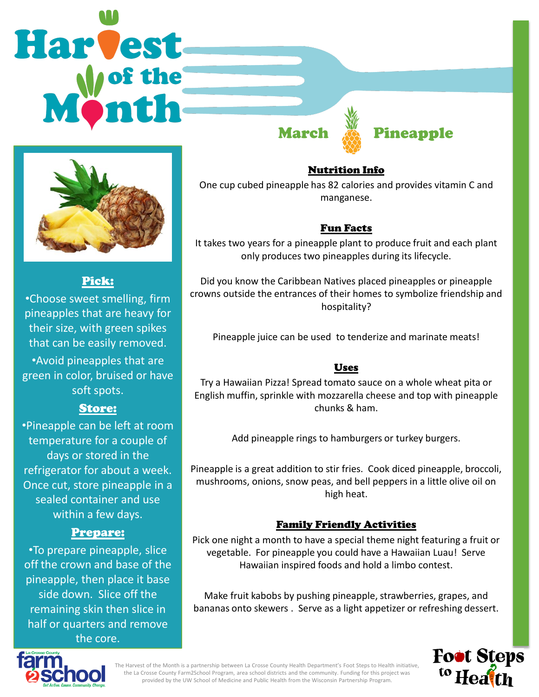# Harvest



## Pick:

•Choose sweet smelling, firm pineapples that are heavy for their size, with green spikes that can be easily removed. •Avoid pineapples that are green in color, bruised or have soft spots.

# Store:

•Pineapple can be left at room temperature for a couple of days or stored in the refrigerator for about a week. Once cut, store pineapple in a sealed container and use within a few days.

# Prepare:

•To prepare pineapple, slice off the crown and base of the pineapple, then place it base side down. Slice off the remaining skin then slice in half or quarters and remove the core.

Nutrition Info

**March A Pineapple** 

One cup cubed pineapple has 82 calories and provides vitamin C and manganese.

# Fun Facts

It takes two years for a pineapple plant to produce fruit and each plant only produces two pineapples during its lifecycle.

Did you know the Caribbean Natives placed pineapples or pineapple crowns outside the entrances of their homes to symbolize friendship and hospitality?

Pineapple juice can be used to tenderize and marinate meats!

# Uses

Try a Hawaiian Pizza! Spread tomato sauce on a whole wheat pita or English muffin, sprinkle with mozzarella cheese and top with pineapple chunks & ham.

Add pineapple rings to hamburgers or turkey burgers.

Pineapple is a great addition to stir fries. Cook diced pineapple, broccoli, mushrooms, onions, snow peas, and bell peppers in a little olive oil on high heat.

# Family Friendly Activities

Pick one night a month to have a special theme night featuring a fruit or vegetable. For pineapple you could have a Hawaiian Luau! Serve Hawaiian inspired foods and hold a limbo contest.

Make fruit kabobs by pushing pineapple, strawberries, grapes, and bananas onto skewers . Serve as a light appetizer or refreshing dessert.





The Harvest of the Month is a partnership between La Crosse County Health Department's Foot Steps to Health initiative, the La Crosse County Farm2School Program, area school districts and the community. Funding for this project was provided by the UW School of Medicine and Public Health from the Wisconsin Partnership Program.